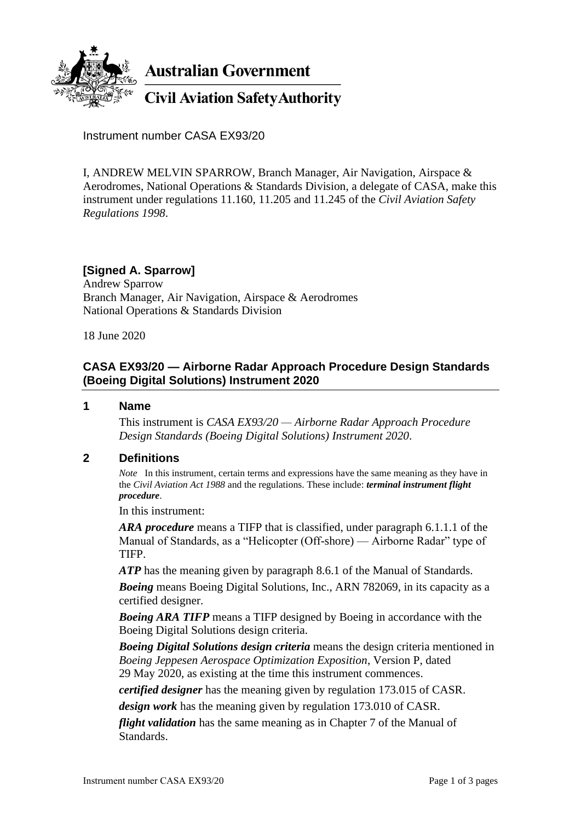

**Australian Government** 

**Civil Aviation Safety Authority** 

Instrument number CASA EX93/20

I, ANDREW MELVIN SPARROW, Branch Manager, Air Navigation, Airspace & Aerodromes, National Operations & Standards Division, a delegate of CASA, make this instrument under regulations 11.160, 11.205 and 11.245 of the *Civil Aviation Safety Regulations 1998*.

# **[Signed A. Sparrow]**

Andrew Sparrow Branch Manager, Air Navigation, Airspace & Aerodromes National Operations & Standards Division

18 June 2020

#### **CASA EX93/20 — Airborne Radar Approach Procedure Design Standards (Boeing Digital Solutions) Instrument 2020**

#### **1 Name**

This instrument is *CASA EX93/20 — Airborne Radar Approach Procedure Design Standards (Boeing Digital Solutions) Instrument 2020*.

#### **2 Definitions**

*Note* In this instrument, certain terms and expressions have the same meaning as they have in the *Civil Aviation Act 1988* and the regulations. These include: *terminal instrument flight procedure*.

In this instrument:

*ARA procedure* means a TIFP that is classified, under paragraph 6.1.1.1 of the Manual of Standards, as a "Helicopter (Off-shore) — Airborne Radar" type of TIFP.

*ATP* has the meaning given by paragraph 8.6.1 of the Manual of Standards.

*Boeing* means Boeing Digital Solutions, Inc., ARN 782069, in its capacity as a certified designer.

*Boeing ARA TIFP* means a TIFP designed by Boeing in accordance with the Boeing Digital Solutions design criteria.

*Boeing Digital Solutions design criteria* means the design criteria mentioned in *Boeing Jeppesen Aerospace Optimization Exposition*, Version P, dated 29 May 2020, as existing at the time this instrument commences.

*certified designer* has the meaning given by regulation 173.015 of CASR.

*design work* has the meaning given by regulation 173.010 of CASR.

*flight validation* has the same meaning as in Chapter 7 of the Manual of Standards.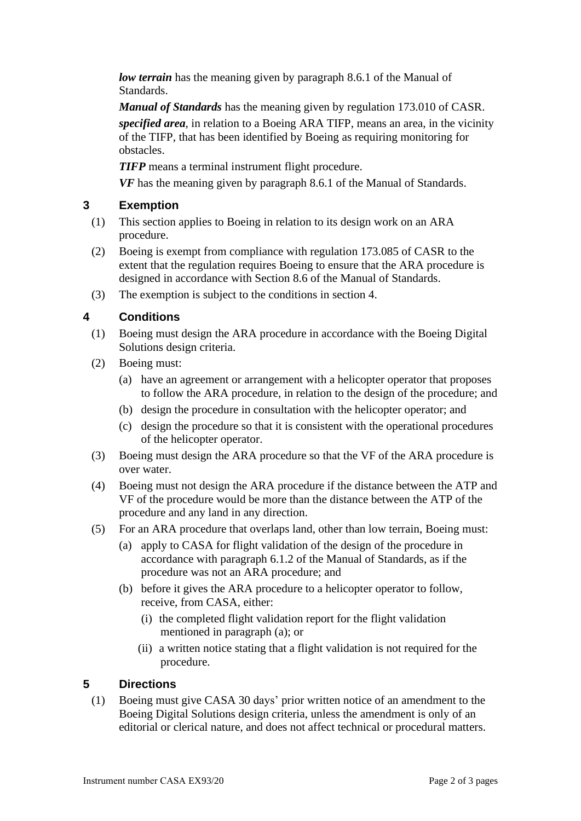*low terrain* has the meaning given by paragraph 8.6.1 of the Manual of Standards.

*Manual of Standards* has the meaning given by regulation 173.010 of CASR. *specified area*, in relation to a Boeing ARA TIFP, means an area, in the vicinity of the TIFP, that has been identified by Boeing as requiring monitoring for obstacles.

*TIFP* means a terminal instrument flight procedure.

*VF* has the meaning given by paragraph 8.6.1 of the Manual of Standards.

#### **3 Exemption**

- (1) This section applies to Boeing in relation to its design work on an ARA procedure.
- (2) Boeing is exempt from compliance with regulation 173.085 of CASR to the extent that the regulation requires Boeing to ensure that the ARA procedure is designed in accordance with Section 8.6 of the Manual of Standards.
- (3) The exemption is subject to the conditions in section 4.

# **4 Conditions**

- (1) Boeing must design the ARA procedure in accordance with the Boeing Digital Solutions design criteria.
- (2) Boeing must:
	- (a) have an agreement or arrangement with a helicopter operator that proposes to follow the ARA procedure, in relation to the design of the procedure; and
	- (b) design the procedure in consultation with the helicopter operator; and
	- (c) design the procedure so that it is consistent with the operational procedures of the helicopter operator.
- (3) Boeing must design the ARA procedure so that the VF of the ARA procedure is over water.
- (4) Boeing must not design the ARA procedure if the distance between the ATP and VF of the procedure would be more than the distance between the ATP of the procedure and any land in any direction.
- (5) For an ARA procedure that overlaps land, other than low terrain, Boeing must:
	- (a) apply to CASA for flight validation of the design of the procedure in accordance with paragraph 6.1.2 of the Manual of Standards, as if the procedure was not an ARA procedure; and
	- (b) before it gives the ARA procedure to a helicopter operator to follow, receive, from CASA, either:
		- (i) the completed flight validation report for the flight validation mentioned in paragraph (a); or
		- (ii) a written notice stating that a flight validation is not required for the procedure.

# **5 Directions**

(1) Boeing must give CASA 30 days' prior written notice of an amendment to the Boeing Digital Solutions design criteria, unless the amendment is only of an editorial or clerical nature, and does not affect technical or procedural matters.